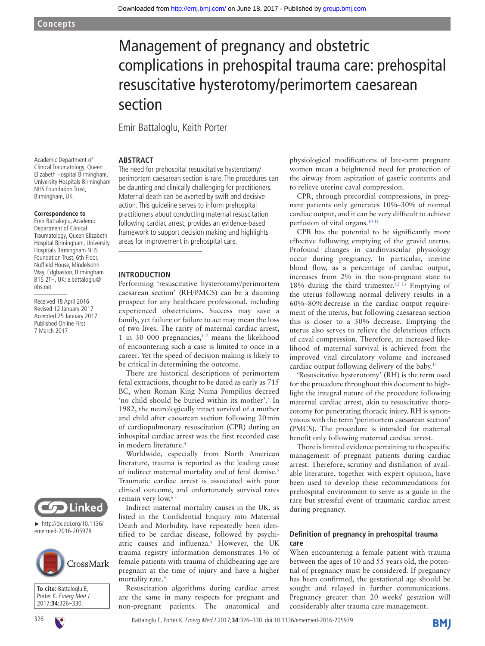# Management of pregnancy and obstetric complications in prehospital trauma care: prehospital resuscitative hysterotomy/perimortem caesarean section

Emir Battaloglu, Keith Porter

# **Abstract**

Academic Department of Clinical Traumatology, Queen Elizabeth Hospital Birmingham, University Hospitals Birmingham NHS Foundation Trust, Birmingham, UK

#### **Correspondence to**

Emir Battaloglu, Academic Department of Clinical Traumatology, Queen Elizabeth Hospital Birmingham, University Hospitals Birmingham NHS Foundation Trust, 6th Floor, Nuffield House, Mindelsohn Way, Edgbaston, Birmingham B15 2TH, UK; e.battaloglu@ nhs.net

Received 18 April 2016 Revised 12 January 2017 Accepted 25 January 2017 Published Online First 7 March 2017



► http://dx.doi.org/10.1136/ emermed-2016-205978



**To cite:** Battaloglu E, Porter K. Emerg Med J 2017;**34**:326–330.

The need for prehospital resuscitative hysterotomy/ perimortem caesarean section is rare. The procedures can be daunting and clinically challenging for practitioners. Maternal death can be averted by swift and decisive action. This guideline serves to inform prehospital practitioners about conducting maternal resuscitation following cardiac arrest, provides an evidence-based framework to support decision making and highlights areas for improvement in prehospital care.

#### **Introduction**

Performing 'resuscitative hysterotomy/perimortem caesarean section' (RH/PMCS) can be a daunting prospect for any healthcare professional, including experienced obstetricians. Success may save a family, yet failure or failure to act may mean the loss of two lives. The rarity of maternal cardiac arrest, 1 in 30 000 pregnancies,<sup>12</sup> means the likelihood of encountering such a case is limited to once in a career. Yet the speed of decision making is likely to be critical in determining the outcome.

There are historical descriptions of perimortem fetal extractions, thought to be dated as early as 715 BC, when Roman King Numa Pompilius decreed 'no child should be buried within its mother'.[3](#page-4-1) In 1982, the neurologically intact survival of a mother and child after caesarean section following 20min of cardiopulmonary resuscitation (CPR) during an inhospital cardiac arrest was the first recorded case in modern literature[.4](#page-4-2)

Worldwide, especially from North American literature, trauma is reported as the leading cause of indirect maternal mortality and of fetal demise.<sup>5</sup> Traumatic cardiac arrest is associated with poor clinical outcome, and unfortunately survival rates remain very low.<sup>67</sup>

Indirect maternal mortality causes in the UK, as listed in the Confidential Enquiry into Maternal Death and Morbidity, have repeatedly been identified to be cardiac disease, followed by psychiatric causes and influenza[.8](#page-4-5) However, the UK trauma registry information demonstrates 1% of female patients with trauma of childbearing age are pregnant at the time of injury and have a higher mortality rate.<sup>9</sup>

Resuscitation algorithms during cardiac arrest are the same in many respects for pregnant and non-pregnant patients. The anatomical and

physiological modifications of late-term pregnant women mean a heightened need for protection of the airway from aspiration of gastric contents and to relieve uterine caval compression.

CPR, through precordial compressions, in pregnant patients only generates 10%–30% of normal cardiac output, and it can be very difficult to achieve perfusion of vital organs.<sup>10 11</sup>

CPR has the potential to be significantly more effective following emptying of the gravid uterus. Profound changes in cardiovascular physiology occur during pregnancy. In particular, uterine blood flow, as a percentage of cardiac output, increases from 2% in the non-pregnant state to 18% during the third trimester.[12 13](#page-4-8) Emptying of the uterus following normal delivery results in a 60%–80%decrease in the cardiac output requirement of the uterus, but following caesarean section this is closer to a 30% decrease. Emptying the uterus also serves to relieve the deleterious effects of caval compression. Therefore, an increased likelihood of maternal survival is achieved from the improved vital circulatory volume and increased cardiac output following delivery of the baby.<sup>14</sup>

'Resuscitative hysterotomy' (RH) is the term used for the procedure throughout this document to highlight the integral nature of the procedure following maternal cardiac arrest, akin to resuscitative thoracotomy for penetrating thoracic injury. RH is synonymous with the term 'perimortem caesarean section' (PMCS). The procedure is intended for maternal benefit only following maternal cardiac arrest.

There is limited evidence pertaining to the specific management of pregnant patients during cardiac arrest. Therefore, scrutiny and distillation of available literature, together with expert opinion, have been used to develop these recommendations for prehospital environment to serve as a guide in the rare but stressful event of traumatic cardiac arrest during pregnancy.

#### **Definition of pregnancy in prehospital trauma care**

When encountering a female patient with trauma between the ages of 10 and 55 years old, the potential of pregnancy must be considered. If pregnancy has been confirmed, the gestational age should be sought and relayed in further communications. Pregnancy greater than 20 weeks' gestation will considerably alter trauma care management.

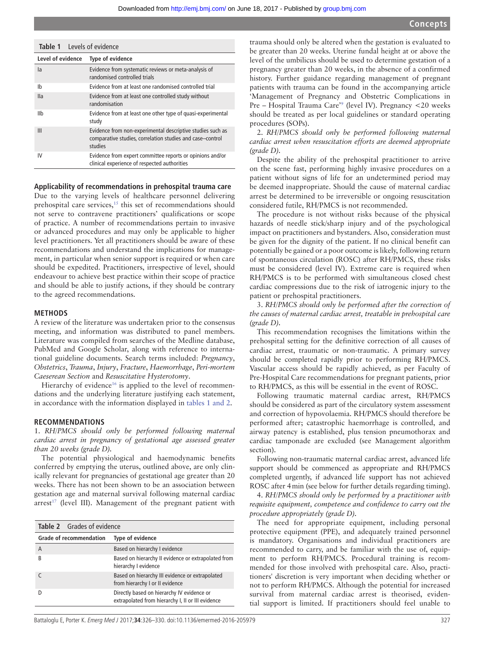<span id="page-1-0"></span>

| <b>Table 1</b> Levels of evidence |                                                                                                                                    |  |
|-----------------------------------|------------------------------------------------------------------------------------------------------------------------------------|--|
| Level of evidence                 | Type of evidence                                                                                                                   |  |
| la                                | Evidence from systematic reviews or meta-analysis of<br>randomised controlled trials                                               |  |
| Ib                                | Evidence from at least one randomised controlled trial                                                                             |  |
| <b>Ila</b>                        | Evidence from at least one controlled study without<br>randomisation                                                               |  |
| IIb                               | Evidence from at least one other type of quasi-experimental<br>study                                                               |  |
| Ш                                 | Evidence from non-experimental descriptive studies such as<br>comparative studies, correlation studies and case-control<br>studies |  |
| IV                                | Evidence from expert committee reports or opinions and/or<br>clinical experience of respected authorities                          |  |

# **Applicability of recommendations in prehospital trauma care**

Due to the varying levels of healthcare personnel delivering prehospital care services,<sup>[15](#page-4-10)</sup> this set of recommendations should not serve to contravene practitioners' qualifications or scope of practice. A number of recommendations pertain to invasive or advanced procedures and may only be applicable to higher level practitioners. Yet all practitioners should be aware of these recommendations and understand the implications for management, in particular when senior support is required or when care should be expedited. Practitioners, irrespective of level, should endeavour to achieve best practice within their scope of practice and should be able to justify actions, if they should be contrary to the agreed recommendations.

#### **Methods**

A review of the literature was undertaken prior to the consensus meeting, and information was distributed to panel members. Literature was compiled from searches of the Medline database, PubMed and Google Scholar, along with reference to international guideline documents. Search terms included: *Pregnancy*, *Obstetrics*, *Trauma*, *Injury*, *Fracture*, *Haemorrhage*, *Peri-mortem Caeserean Section* and *Resuscitative Hysterotomy*.

Hierarchy of evidence<sup>16</sup> is applied to the level of recommendations and the underlying literature justifying each statement, in accordance with the information displayed in tables [1 and 2.](#page-1-0)

#### **Recommendations**

1. *RH/PMCS should only be performed following maternal cardiac arrest in pregnancy of gestational age assessed greater than 20 weeks (grade D).*

The potential physiological and haemodynamic benefits conferred by emptying the uterus, outlined above, are only clinically relevant for pregnancies of gestational age greater than 20 weeks. There has not been shown to be an association between gestation age and maternal survival following maternal cardiac  $arrest<sup>17</sup>$  (level III). Management of the pregnant patient with

| <b>Table 2</b> Grades of evidence |                                                                                                 |
|-----------------------------------|-------------------------------------------------------------------------------------------------|
| <b>Grade of recommendation</b>    | Type of evidence                                                                                |
| A                                 | Based on hierarchy I evidence                                                                   |
| R                                 | Based on hierarchy II evidence or extrapolated from<br>hierarchy I evidence                     |
|                                   | Based on hierarchy III evidence or extrapolated<br>from hierarchy I or II evidence              |
|                                   | Directly based on hierarchy IV evidence or<br>extrapolated from hierarchy I, II or III evidence |

trauma should only be altered when the gestation is evaluated to be greater than 20 weeks. Uterine fundal height at or above the level of the umbilicus should be used to determine gestation of a pregnancy greater than 20 weeks, in the absence of a confirmed history. Further guidance regarding management of pregnant patients with trauma can be found in the accompanying article 'Management of Pregnancy and Obstetric Complications in Pre – Hospital Trauma Care['9](#page-4-6) (level IV). Pregnancy <20 weeks should be treated as per local guidelines or standard operating procedures (SOPs).

2. *RH/PMCS should only be performed following maternal cardiac arrest when resuscitation efforts are deemed appropriate (grade D).*

Despite the ability of the prehospital practitioner to arrive on the scene fast, performing highly invasive procedures on a patient without signs of life for an undetermined period may be deemed inappropriate. Should the cause of maternal cardiac arrest be determined to be irreversible or ongoing resuscitation considered futile, RH/PMCS is not recommended.

The procedure is not without risks because of the physical hazards of needle stick/sharp injury and of the psychological impact on practitioners and bystanders. Also, consideration must be given for the dignity of the patient. If no clinical benefit can potentially be gained or a poor outcome is likely, following return of spontaneous circulation (ROSC) after RH/PMCS, these risks must be considered (level IV). Extreme care is required when RH/PMCS is to be performed with simultaneous closed chest cardiac compressions due to the risk of iatrogenic injury to the patient or prehospital practitioners.

3. *RH/PMCS should only be performed after the correction of the causes of maternal cardiac arrest, treatable in prehospital care (grade D).*

This recommendation recognises the limitations within the prehospital setting for the definitive correction of all causes of cardiac arrest, traumatic or non-traumatic. A primary survey should be completed rapidly prior to performing RH/PMCS. Vascular access should be rapidly achieved, as per Faculty of Pre-Hospital Care recommendations for pregnant patients, prior to RH/PMCS, as this will be essential in the event of ROSC.

Following traumatic maternal cardiac arrest, RH/PMCS should be considered as part of the circulatory system assessment and correction of hypovolaemia. RH/PMCS should therefore be performed after; catastrophic haemorrhage is controlled, and airway patency is established, plus tension pneumothorax and cardiac tamponade are excluded (see Management algorithm section).

Following non-traumatic maternal cardiac arrest, advanced life support should be commenced as appropriate and RH/PMCS completed urgently, if advanced life support has not achieved ROSC after 4min (see below for further details regarding timing).

4. *RH/PMCS should only be performed by a practitioner with requisite equipment, competence and confidence to carry out the procedure appropriately (grade D).*

The need for appropriate equipment, including personal protective equipment (PPE), and adequately trained personnel is mandatory. Organisations and individual practitioners are recommended to carry, and be familiar with the use of, equipment to perform RH/PMCS. Procedural training is recommended for those involved with prehospital care. Also, practitioners' discretion is very important when deciding whether or not to perform RH/PMCS. Although the potential for increased survival from maternal cardiac arrest is theorised, evidential support is limited. If practitioners should feel unable to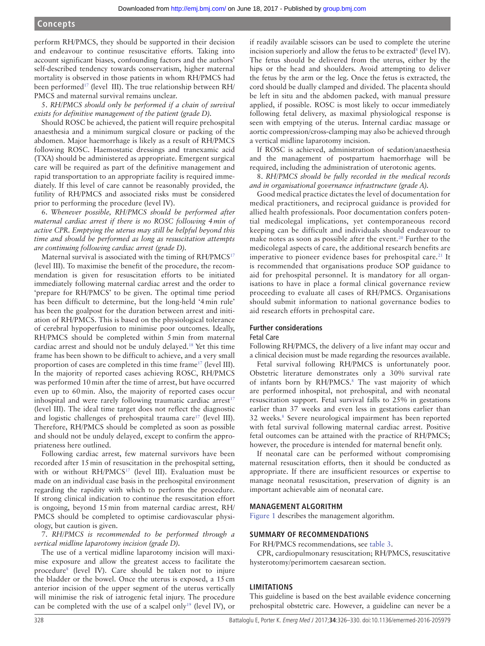# **Concepts**

perform RH/PMCS, they should be supported in their decision and endeavour to continue resuscitative efforts. Taking into account significant biases, confounding factors and the authors' self-described tendency towards conservatism, higher maternal mortality is observed in those patients in whom RH/PMCS had been performed<sup>17</sup> (level III). The true relationship between RH/ PMCS and maternal survival remains unclear.

5. *RH/PMCS should only be performed if a chain of survival exists for definitive management of the patient (grade D).*

Should ROSC be achieved, the patient will require prehospital anaesthesia and a minimum surgical closure or packing of the abdomen. Major haemorrhage is likely as a result of RH/PMCS following ROSC. Haemostatic dressings and tranexamic acid (TXA) should be administered as appropriate. Emergent surgical care will be required as part of the definitive management and rapid transportation to an appropriate facility is required immediately. If this level of care cannot be reasonably provided, the futility of RH/PMCS and associated risks must be considered prior to performing the procedure (level IV).

6. *Whenever possible, RH/PMCS should be performed after maternal cardiac arrest if there is no ROSC following 4min of active CPR. Emptying the uterus may still be helpful beyond this time and should be performed as long as resuscitation attempts are continuing following cardiac arrest (grade D).*

Maternal survival is associated with the timing of RH/PMCS<sup>[17](#page-4-12)</sup> (level III). To maximise the benefit of the procedure, the recommendation is given for resuscitation efforts to be initiated immediately following maternal cardiac arrest and the order to 'prepare for RH/PMCS' to be given. The optimal time period has been difficult to determine, but the long-held '4min rule' has been the goalpost for the duration between arrest and initiation of RH/PMCS. This is based on the physiological tolerance of cerebral hypoperfusion to minimise poor outcomes. Ideally, RH/PMCS should be completed within 5min from maternal cardiac arrest and should not be unduly delayed.[18](#page-4-13) Yet this time frame has been shown to be difficult to achieve, and a very small proportion of cases are completed in this time frame<sup>17</sup> (level III). In the majority of reported cases achieving ROSC, RH/PMCS was performed 10min after the time of arrest, but have occurred even up to 60min. Also, the majority of reported cases occur inhospital and were rarely following traumatic cardiac arrest<sup>[17](#page-4-12)</sup> (level III). The ideal time target does not reflect the diagnostic and logistic challenges of prehospital trauma care<sup>17</sup> (level III). Therefore, RH/PMCS should be completed as soon as possible and should not be unduly delayed, except to confirm the appropriateness here outlined.

Following cardiac arrest, few maternal survivors have been recorded after 15min of resuscitation in the prehospital setting, with or without RH/PMCS<sup>17</sup> (level III). Evaluation must be made on an individual case basis in the prehospital environment regarding the rapidity with which to perform the procedure. If strong clinical indication to continue the resuscitation effort is ongoing, beyond 15min from maternal cardiac arrest, RH/ PMCS should be completed to optimise cardiovascular physiology, but caution is given.

7. *RH/PMCS is recommended to be performed through a vertical midline laparotomy incision (grade D).*

The use of a vertical midline laparotomy incision will maximise exposure and allow the greatest access to facilitate the procedur[e8](#page-4-5) (level IV). Care should be taken not to injure the bladder or the bowel. Once the uterus is exposed, a 15cm anterior incision of the upper segment of the uterus vertically will minimise the risk of iatrogenic fetal injury. The procedure can be completed with the use of a scalpel only<sup>19</sup> (level IV), or

if readily available scissors can be used to complete the uterine incision superiorly and allow the fetus to be extracted $\delta$  (level IV). The fetus should be delivered from the uterus, either by the hips or the head and shoulders. Avoid attempting to deliver the fetus by the arm or the leg. Once the fetus is extracted, the cord should be dually clamped and divided. The placenta should be left in situ and the abdomen packed, with manual pressure applied, if possible. ROSC is most likely to occur immediately following fetal delivery, as maximal physiological response is seen with emptying of the uterus. Internal cardiac massage or aortic compression/cross-clamping may also be achieved through a vertical midline laparotomy incision.

If ROSC is achieved, administration of sedation/anaesthesia and the management of postpartum haemorrhage will be required, including the administration of uterotonic agents.

8. *RH/PMCS should be fully recorded in the medical records and in organisational governance infrastructure (grade A).*

Good medical practice dictates the level of documentation for medical practitioners, and reciprocal guidance is provided for allied health professionals. Poor documentation confers potential medicolegal implications, yet contemporaneous record keeping can be difficult and individuals should endeavour to make notes as soon as possible after the event.<sup>[20](#page-4-15)</sup> Further to the medicolegal aspects of care, the additional research benefits are imperative to pioneer evidence bases for prehospital care.<sup>21</sup> It is recommended that organisations produce SOP guidance to aid for prehospital personnel. It is mandatory for all organisations to have in place a formal clinical governance review proceeding to evaluate all cases of RH/PMCS. Organisations should submit information to national governance bodies to aid research efforts in prehospital care.

### **Further considerations**

#### Fetal Care

Following RH/PMCS, the delivery of a live infant may occur and a clinical decision must be made regarding the resources available.

Fetal survival following RH/PMCS is unfortunately poor. Obstetric literature demonstrates only a 30% survival rate of infants born by RH/PMCS.<sup>[8](#page-4-5)</sup> The vast majority of which are performed inhospital, not prehospital, and with neonatal resuscitation support. Fetal survival falls to 25% in gestations earlier than 37 weeks and even less in gestations earlier than 32 weeks.<sup>8</sup> Severe neurological impairment has been reported with fetal survival following maternal cardiac arrest. Positive fetal outcomes can be attained with the practice of RH/PMCS; however, the procedure is intended for maternal benefit only.

If neonatal care can be performed without compromising maternal resuscitation efforts, then it should be conducted as appropriate. If there are insufficient resources or expertise to manage neonatal resuscitation, preservation of dignity is an important achievable aim of neonatal care.

#### **Management algorithm**

Figure 1 describes the management algorithm.

#### **Summary of recommendations**

For RH/PMCS recommendations, see [table](#page-3-0) 3.

CPR, cardiopulmonary resuscitation; RH/PMCS, resuscitative hysterotomy/perimortem caesarean section.

#### **Limitations**

This guideline is based on the best available evidence concerning prehospital obstetric care. However, a guideline can never be a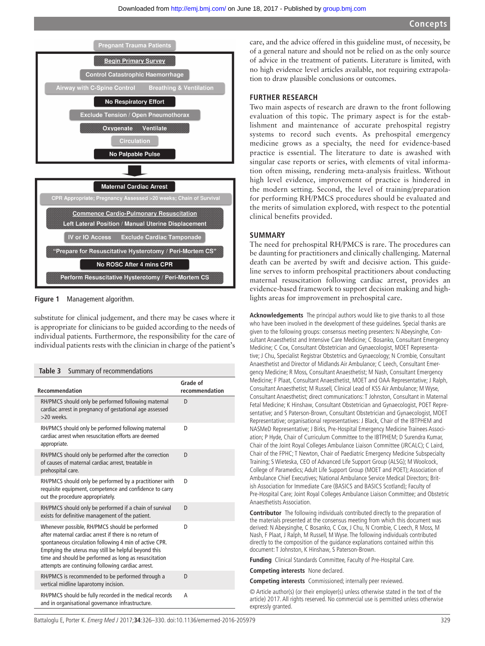

**Figure 1** Management algorithm.

substitute for clinical judgement, and there may be cases where it is appropriate for clinicians to be guided according to the needs of individual patients. Furthermore, the responsibility for the care of individual patients rests with the clinician in charge of the patient's

<span id="page-3-0"></span>

|                       | Table 3           | Summary of recommendations                                                                                                                                                                                                                                                                                                               |   |
|-----------------------|-------------------|------------------------------------------------------------------------------------------------------------------------------------------------------------------------------------------------------------------------------------------------------------------------------------------------------------------------------------------|---|
| <b>Recommendation</b> |                   | Grade of<br>recommendation                                                                                                                                                                                                                                                                                                               |   |
|                       | >20 weeks.        | RH/PMCS should only be performed following maternal<br>cardiac arrest in pregnancy of gestational age assessed                                                                                                                                                                                                                           | D |
|                       | appropriate.      | RH/PMCS should only be performed following maternal<br>cardiac arrest when resuscitation efforts are deemed                                                                                                                                                                                                                              | D |
|                       | prehospital care. | RH/PMCS should only be performed after the correction<br>of causes of maternal cardiac arrest, treatable in                                                                                                                                                                                                                              | D |
|                       |                   | RH/PMCS should only be performed by a practitioner with<br>requisite equipment, competence and confidence to carry<br>out the procedure appropriately.                                                                                                                                                                                   | D |
|                       |                   | RH/PMCS should only be performed if a chain of survival<br>exists for definitive management of the patient.                                                                                                                                                                                                                              | D |
|                       |                   | Whenever possible, RH/PMCS should be performed<br>after maternal cardiac arrest if there is no return of<br>spontaneous circulation following 4 min of active CPR.<br>Emptying the uterus may still be helpful beyond this<br>time and should be performed as long as resuscitation<br>attempts are continuing following cardiac arrest. | D |
|                       |                   | RH/PMCS is recommended to be performed through a<br>vertical midline laparotomy incision.                                                                                                                                                                                                                                                | D |
|                       |                   | RH/PMCS should be fully recorded in the medical records<br>and in organisational governance infrastructure.                                                                                                                                                                                                                              | A |

care, and the advice offered in this guideline must, of necessity, be of a general nature and should not be relied on as the only source of advice in the treatment of patients. Literature is limited, with no high evidence level articles available, not requiring extrapolation to draw plausible conclusions or outcomes.

## **Further research**

Two main aspects of research are drawn to the front following evaluation of this topic. The primary aspect is for the establishment and maintenance of accurate prehospital registry systems to record such events. As prehospital emergency medicine grows as a specialty, the need for evidence-based practice is essential. The literature to date is awashed with singular case reports or series, with elements of vital information often missing, rendering meta-analysis fruitless. Without high level evidence, improvement of practice is hindered in the modern setting. Second, the level of training/preparation for performing RH/PMCS procedures should be evaluated and the merits of simulation explored, with respect to the potential clinical benefits provided.

### **Summary**

The need for prehospital RH/PMCS is rare. The procedures can be daunting for practitioners and clinically challenging. Maternal death can be averted by swift and decisive action. This guideline serves to inform prehospital practitioners about conducting maternal resuscitation following cardiac arrest, provides an evidence-based framework to support decision making and highlights areas for improvement in prehospital care.

**Acknowledgements** The principal authors would like to give thanks to all those who have been involved in the development of these guidelines. Special thanks are given to the following groups: consensus meeting presenters: N Abeysinghe, Consultant Anaesthetist and Intensive Care Medicine; C Bosanko, Consultant Emergency Medicine; C Cox, Consultant Obstetrician and Gynaecologist, MOET Representative; J Chu, Specialist Registrar Obstetrics and Gynaecology; N Crombie, Consultant Anaesthetist and Director of Midlands Air Ambulance; C Leech, Consultant Emergency Medicine; R Moss, Consultant Anaesthetist; M Nash, Consultant Emergency Medicine; F Plaat, Consultant Anaesthetist, MOET and OAA Representative; J Ralph, Consultant Anaesthetist; M Russell, Clinical Lead of KSS Air Ambulance; M Wyse, Consultant Anaesthetist; direct communications: T Johnston, Consultant in Maternal Fetal Medicine; K Hinshaw, Consultant Obstetrician and Gynaecologist, POET Representative; and S Paterson-Brown, Consultant Obstetrician and Gynaecologist, MOET Representative; organisational representatives: J Black, Chair of the IBTPHEM and NASMeD Representative; J Birks, Pre-Hospital Emergency Medicine Trainees Association; P Hyde, Chair of Curriculum Committee to the IBTPHEM; D Surendra Kumar, Chair of the Joint Royal Colleges Ambulance Liaison Committee (JRCALC); C Laird, Chair of the FPHC; T Newton, Chair of Paediatric Emergency Medicine Subspecialty Training; S Wieteska, CEO of Advanced Life Support Group (ALSG); M Woolcock, College of Paramedics; Adult Life Support Group (MOET and POET); Association of Ambulance Chief Executives; National Ambulance Service Medical Directors; British Association for Immediate Care (BASICS and BASICS Scotland); Faculty of Pre-Hospital Care; Joint Royal Colleges Ambulance Liaison Committee; and Obstetric Anaesthetists Association.

**Contributor** The following individuals contributed directly to the preparation of the materials presented at the consensus meeting from which this document was derived: N Abeysinghe, C Bosanko, C Cox, J Chu, N Crombie, C Leech, R Moss, M Nash, F Plaat, J Ralph, M Russell, M Wyse. The following individuals contributed directly to the composition of the guidance explanations contained within this document: T Johnston, K Hinshaw, S Paterson-Brown.

**Funding** Clinical Standards Committee, Faculty of Pre-Hospital Care.

**Competing interests** None declared.

**Competing interests** Commissioned; internally peer reviewed.

© Article author(s) (or their employer(s) unless otherwise stated in the text of the article) 2017. All rights reserved. No commercial use is permitted unless otherwise expressly granted.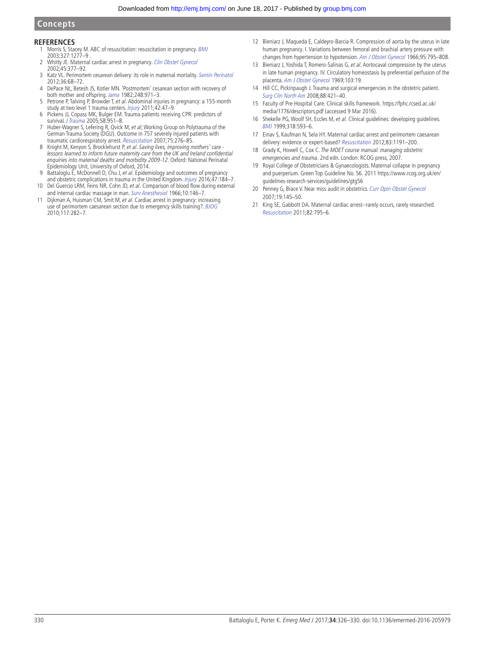# **Concepts**

#### **References**

- <span id="page-4-0"></span>Morris S, Stacey M. ABC of resuscitation: resuscitation in pregnancy. [BMJ](http://dx.doi.org/10.1136/bmj.327.7426.1277) 2003;327:1277–9 .
- 2 Whitty JE. Maternal cardiac arrest in pregnancy. [Clin Obstet Gynecol](http://dx.doi.org/10.1097/00003081-200206000-00009) 2002;45:377–92.
- <span id="page-4-1"></span>Katz VL. Perimortem cesarean delivery: its role in maternal mortality. [Semin Perinatol](http://dx.doi.org/10.1053/j.semperi.2011.09.013) 2012;36:68–72.
- <span id="page-4-2"></span>4 DePace NL, Betesh JS, Kotler MN. 'Postmortem' cesarean section with recovery of both mother and offspring. [Jama](http://dx.doi.org/10.1001/jama.1982.03330080053029) 1982;248:971–3.
- <span id="page-4-3"></span>5 Petrone P, Talving P, Browder T, et al. Abdominal injuries in pregnancy: a 155-month study at two level 1 trauma centers. *[Injury](http://dx.doi.org/10.1016/j.injury.2010.06.026)* 2011;42:47-9.
- <span id="page-4-4"></span>6 Pickens JJ, Copass MK, Bulger EM. Trauma patients receiving CPR: predictors of survival. [J Trauma](http://dx.doi.org/10.1097/01.TA.0000162174.06448.5A) 2005:58:951-8.
- 7 Huber-Wagner S, Lefering R, Ovick M, et al; Working Group on Polytrauma of the German Trauma Society (DGU). Outcome in 757 severely injured patients with traumatic cardiorespiratory arrest. [Resuscitation](http://dx.doi.org/10.1016/j.resuscitation.2007.04.018) 2007;75:276–85.
- <span id="page-4-5"></span>8 Knight M, Kenyon S, Brocklehurst P, et al. Saving lives, improving mothers' care lessons learned to inform future maternity care from the UK and Ireland confidential enquiries into maternal deaths and morbidity 2009-12. Oxford: National Perinatal Epidemiology Unit, University of Oxford, 2014.
- <span id="page-4-6"></span>9 Battaloglu E, McDonnell D, Chu J, et al. Epidemiology and outcomes of pregnancy and obstetric complications in trauma in the United Kingdom. *[Injury](http://dx.doi.org/10.1016/j.injury.2015.08.026)* 2016;47:184–7.
- <span id="page-4-7"></span>10 Del Guercio LRM, Feins NR, Cohn JD, et al. Comparison of blood flow during external and internal cardiac massage in man. Surv Anesthesiol 1966;10:146–7.
- 11 Dijkman A, Huisman CM, Smit M, et al. Cardiac arrest in pregnancy: increasing use of perimortem caesarean section due to emergency skills training?. [BJOG](http://dx.doi.org/10.1111/j.1471-0528.2009.02461.x) 2010;117:282–7.
- <span id="page-4-8"></span>12 Bieniarz J, Maqueda E, Caldeyro-Barcia R. Compression of aorta by the uterus in late human pregnancy. I. Variations between femoral and brachial artery pressure with changes from hypertension to hypotension. Am J Obstet Gynecol 1966;95:795–808.
- 13 Bieniarz J, Yoshida T, Romero-Salinas G, et al. Aortocaval compression by the uterus in late human pregnancy. IV. Circulatory homeostasis by preferential perfusion of the placenta. Am J Obstet Gynecol 1969;103:19.
- <span id="page-4-9"></span>14 Hill CC, Pickinpaugh J. Trauma and surgical emergencies in the obstetric patient. [Surg Clin North Am](http://dx.doi.org/10.1016/j.suc.2007.12.006) 2008;88:421–40.
- <span id="page-4-10"></span>15 Faculty of Pre-Hospital Care. Clinical skills framework. [https://fphc.rcsed.ac.uk/](https://fphc.rcsed.ac.uk/media/1776/descriptors.pdf) [media/1776/descriptors.pdf](https://fphc.rcsed.ac.uk/media/1776/descriptors.pdf) (accessed 9 Mar 2016).
- <span id="page-4-11"></span>16 Shekelle PG, Woolf SH, Eccles M, et al. Clinical guidelines: developing guidelines. [BMJ](http://dx.doi.org/10.1136/bmj.318.7183.593) 1999;318:593–6.
- <span id="page-4-12"></span>17 Einav S, Kaufman N, Sela HY. Maternal cardiac arrest and perimortem caesarean delivery: evidence or expert-based? [Resuscitation](http://dx.doi.org/10.1016/j.resuscitation.2012.05.005) 2012;83:1191–200.
- <span id="page-4-13"></span>18 Grady K, Howell C, Cox C. The MOET course manual: managing obstetric emergencies and trauma. 2nd edn. London: RCOG press, 2007.
- <span id="page-4-14"></span>19 Royal College of Obstetricians & Gynaecologists. Maternal collapse in pregnancy and puerperium. Green Top Guideline No. 56. 2011 [https://www.rcog.org.uk/en/](https://www.rcog.org.uk/en/guidelines-research-services/guidelines/gtg56) [guidelines-research-services/guidelines/gtg56](https://www.rcog.org.uk/en/guidelines-research-services/guidelines/gtg56)
- <span id="page-4-15"></span>20 Penney G, Brace V. Near miss audit in obstetrics. [Curr Opin Obstet Gynecol](http://dx.doi.org/10.1097/GCO.0b013e328014a860) 2007;19:145–50.
- <span id="page-4-16"></span>21 King SE, Gabbott DA. Maternal cardiac arrest--rarely occurs, rarely researched. [Resuscitation](http://dx.doi.org/10.1016/j.resuscitation.2011.03.029) 2011;82:795–6.